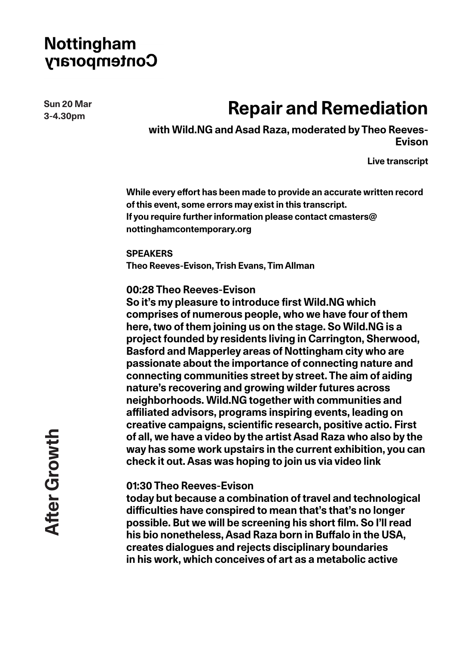**Sun 20 Mar 3-4.30pm**

# **Repair and Remediation**

**with Wild.NG and Asad Raza, moderated by Theo Reeves-Evison**

**Live transcript**

**While every effort has been made to provide an accurate written record of this event, some errors may exist in this transcript. If you require further information please contact cmasters@ nottinghamcontemporary.org**

**SPEAKERS Theo Reeves-Evison, Trish Evans, Tim Allman**

**00:28 Theo Reeves-Evison**

**So it's my pleasure to introduce first Wild.NG which comprises of numerous people, who we have four of them here, two of them joining us on the stage. So Wild.NG is a project founded by residents living in Carrington, Sherwood, Basford and Mapperley areas of Nottingham city who are passionate about the importance of connecting nature and connecting communities street by street. The aim of aiding nature's recovering and growing wilder futures across neighborhoods. Wild.NG together with communities and affiliated advisors, programs inspiring events, leading on creative campaigns, scientific research, positive actio. First of all, we have a video by the artist Asad Raza who also by the way has some work upstairs in the current exhibition, you can check it out. Asas was hoping to join us via video link**

### **01:30 Theo Reeves-Evison**

**today but because a combination of travel and technological difficulties have conspired to mean that's that's no longer possible. But we will be screening his short film. So I'll read his bio nonetheless, Asad Raza born in Buffalo in the USA, creates dialogues and rejects disciplinary boundaries in his work, which conceives of art as a metabolic active**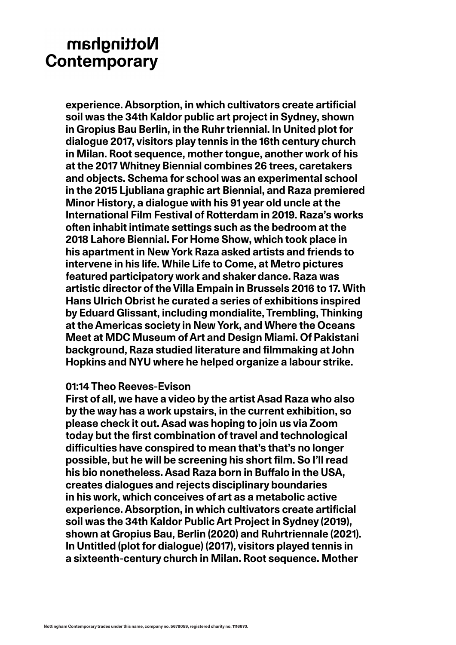**experience. Absorption, in which cultivators create artificial soil was the 34th Kaldor public art project in Sydney, shown in Gropius Bau Berlin, in the Ruhr triennial. In United plot for dialogue 2017, visitors play tennis in the 16th century church in Milan. Root sequence, mother tongue, another work of his at the 2017 Whitney Biennial combines 26 trees, caretakers and objects. Schema for school was an experimental school in the 2015 Ljubliana graphic art Biennial, and Raza premiered Minor History, a dialogue with his 91 year old uncle at the International Film Festival of Rotterdam in 2019. Raza's works often inhabit intimate settings such as the bedroom at the 2018 Lahore Biennial. For Home Show, which took place in his apartment in New York Raza asked artists and friends to intervene in his life. While Life to Come, at Metro pictures featured participatory work and shaker dance. Raza was artistic director of the Villa Empain in Brussels 2016 to 17. With Hans Ulrich Obrist he curated a series of exhibitions inspired by Eduard Glissant, including mondialite, Trembling, Thinking at the Americas society in New York, and Where the Oceans Meet at MDC Museum of Art and Design Miami. Of Pakistani background, Raza studied literature and filmmaking at John Hopkins and NYU where he helped organize a labour strike.** 

#### **01:14 Theo Reeves-Evison**

**First of all, we have a video by the artist Asad Raza who also by the way has a work upstairs, in the current exhibition, so please check it out. Asad was hoping to join us via Zoom today but the first combination of travel and technological difficulties have conspired to mean that's that's no longer possible, but he will be screening his short film. So I'll read his bio nonetheless. Asad Raza born in Buffalo in the USA, creates dialogues and rejects disciplinary boundaries in his work, which conceives of art as a metabolic active experience. Absorption, in which cultivators create artificial soil was the 34th Kaldor Public Art Project in Sydney (2019), shown at Gropius Bau, Berlin (2020) and Ruhrtriennale (2021). In Untitled (plot for dialogue) (2017), visitors played tennis in a sixteenth-century church in Milan. Root sequence. Mother**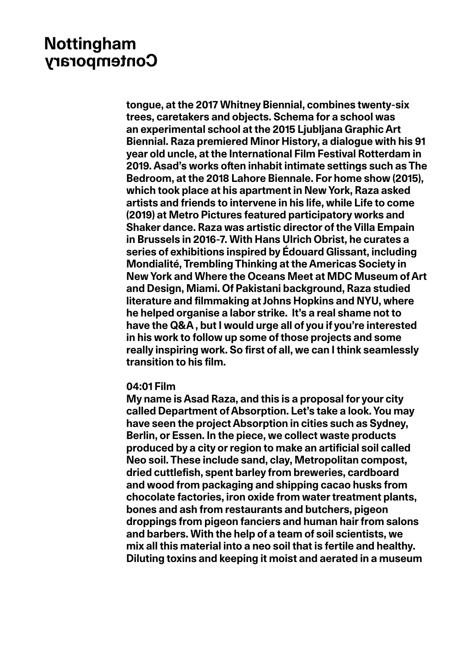**tongue, at the 2017 Whitney Biennial, combines twenty-six trees, caretakers and objects. Schema for a school was an experimental school at the 2015 Ljubljana Graphic Art Biennial. Raza premiered Minor History, a dialogue with his 91 year old uncle, at the International Film Festival Rotterdam in 2019. Asad's works often inhabit intimate settings such as The Bedroom, at the 2018 Lahore Biennale. For home show (2015), which took place at his apartment in New York, Raza asked artists and friends to intervene in his life, while Life to come (2019) at Metro Pictures featured participatory works and Shaker dance. Raza was artistic director of the Villa Empain in Brussels in 2016-7. With Hans Ulrich Obrist, he curates a series of exhibitions inspired by Édouard Glissant, including Mondialité, Trembling Thinking at the Americas Society in New York and Where the Oceans Meet at MDC Museum of Art and Design, Miami. Of Pakistani background, Raza studied literature and filmmaking at Johns Hopkins and NYU, where he helped organise a labor strike. It's a real shame not to have the Q&A , but I would urge all of you if you're interested in his work to follow up some of those projects and some really inspiring work. So first of all, we can I think seamlessly transition to his film.**

#### **04:01 Film**

**My name is Asad Raza, and this is a proposal for your city called Department of Absorption. Let's take a look. You may have seen the project Absorption in cities such as Sydney, Berlin, or Essen. In the piece, we collect waste products produced by a city or region to make an artificial soil called Neo soil. These include sand, clay, Metropolitan compost, dried cuttlefish, spent barley from breweries, cardboard and wood from packaging and shipping cacao husks from chocolate factories, iron oxide from water treatment plants, bones and ash from restaurants and butchers, pigeon droppings from pigeon fanciers and human hair from salons and barbers. With the help of a team of soil scientists, we mix all this material into a neo soil that is fertile and healthy. Diluting toxins and keeping it moist and aerated in a museum**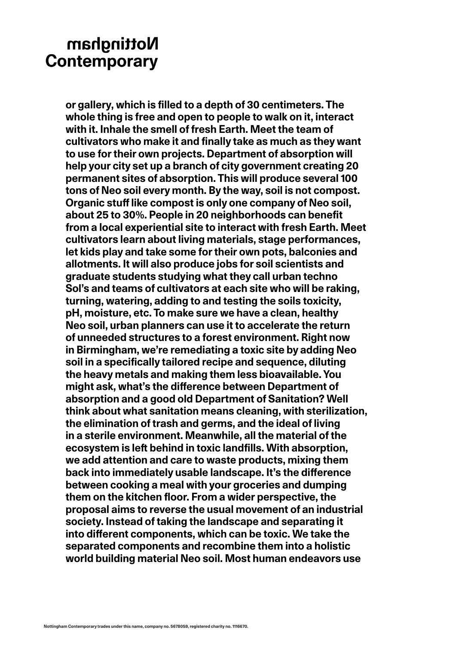**or gallery, which is filled to a depth of 30 centimeters. The whole thing is free and open to people to walk on it, interact with it. Inhale the smell of fresh Earth. Meet the team of cultivators who make it and finally take as much as they want to use for their own projects. Department of absorption will help your city set up a branch of city government creating 20 permanent sites of absorption. This will produce several 100 tons of Neo soil every month. By the way, soil is not compost. Organic stuff like compost is only one company of Neo soil, about 25 to 30%. People in 20 neighborhoods can benefit from a local experiential site to interact with fresh Earth. Meet cultivators learn about living materials, stage performances, let kids play and take some for their own pots, balconies and allotments. It will also produce jobs for soil scientists and graduate students studying what they call urban techno Sol's and teams of cultivators at each site who will be raking, turning, watering, adding to and testing the soils toxicity, pH, moisture, etc. To make sure we have a clean, healthy Neo soil, urban planners can use it to accelerate the return of unneeded structures to a forest environment. Right now in Birmingham, we're remediating a toxic site by adding Neo soil in a specifically tailored recipe and sequence, diluting the heavy metals and making them less bioavailable. You might ask, what's the difference between Department of absorption and a good old Department of Sanitation? Well think about what sanitation means cleaning, with sterilization, the elimination of trash and germs, and the ideal of living in a sterile environment. Meanwhile, all the material of the ecosystem is left behind in toxic landfills. With absorption, we add attention and care to waste products, mixing them back into immediately usable landscape. It's the difference between cooking a meal with your groceries and dumping them on the kitchen floor. From a wider perspective, the proposal aims to reverse the usual movement of an industrial society. Instead of taking the landscape and separating it into different components, which can be toxic. We take the separated components and recombine them into a holistic world building material Neo soil. Most human endeavors use**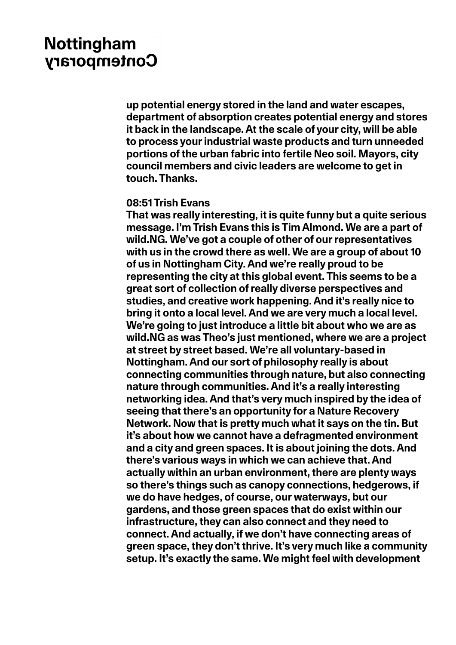**up potential energy stored in the land and water escapes, department of absorption creates potential energy and stores it back in the landscape. At the scale of your city, will be able to process your industrial waste products and turn unneeded portions of the urban fabric into fertile Neo soil. Mayors, city council members and civic leaders are welcome to get in touch. Thanks.**

#### **08:51 Trish Evans**

**That was really interesting, it is quite funny but a quite serious message. I'm Trish Evans this is Tim Almond. We are a part of wild.NG. We've got a couple of other of our representatives with us in the crowd there as well. We are a group of about 10 of us in Nottingham City. And we're really proud to be representing the city at this global event. This seems to be a great sort of collection of really diverse perspectives and studies, and creative work happening. And it's really nice to bring it onto a local level. And we are very much a local level. We're going to just introduce a little bit about who we are as wild.NG as was Theo's just mentioned, where we are a project at street by street based. We're all voluntary-based in Nottingham. And our sort of philosophy really is about connecting communities through nature, but also connecting nature through communities. And it's a really interesting networking idea. And that's very much inspired by the idea of seeing that there's an opportunity for a Nature Recovery Network. Now that is pretty much what it says on the tin. But it's about how we cannot have a defragmented environment and a city and green spaces. It is about joining the dots. And there's various ways in which we can achieve that. And actually within an urban environment, there are plenty ways so there's things such as canopy connections, hedgerows, if we do have hedges, of course, our waterways, but our gardens, and those green spaces that do exist within our infrastructure, they can also connect and they need to connect. And actually, if we don't have connecting areas of green space, they don't thrive. It's very much like a community setup. It's exactly the same. We might feel with development**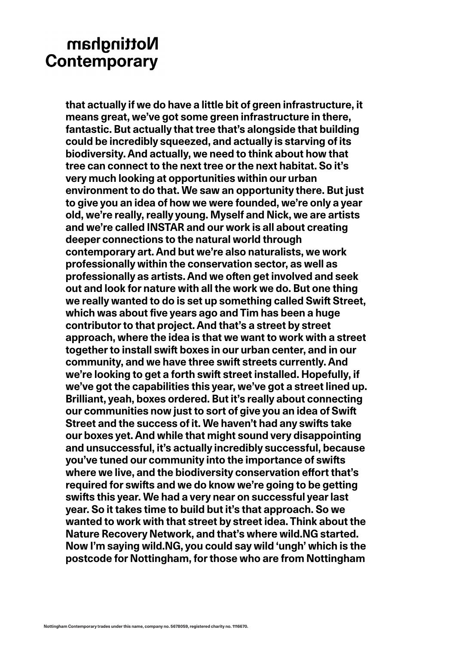**that actually if we do have a little bit of green infrastructure, it means great, we've got some green infrastructure in there, fantastic. But actually that tree that's alongside that building could be incredibly squeezed, and actually is starving of its biodiversity. And actually, we need to think about how that tree can connect to the next tree or the next habitat. So it's very much looking at opportunities within our urban environment to do that. We saw an opportunity there. But just to give you an idea of how we were founded, we're only a year old, we're really, really young. Myself and Nick, we are artists and we're called INSTAR and our work is all about creating deeper connections to the natural world through contemporary art. And but we're also naturalists, we work professionally within the conservation sector, as well as professionally as artists. And we often get involved and seek out and look for nature with all the work we do. But one thing we really wanted to do is set up something called Swift Street, which was about five years ago and Tim has been a huge contributor to that project. And that's a street by street approach, where the idea is that we want to work with a street together to install swift boxes in our urban center, and in our community, and we have three swift streets currently. And**  we're looking to get a forth swift street installed. Hopefully, if **we've got the capabilities this year, we've got a street lined up. Brilliant, yeah, boxes ordered. But it's really about connecting our communities now just to sort of give you an idea of Swift Street and the success of it. We haven't had any swifts take our boxes yet. And while that might sound very disappointing and unsuccessful, it's actually incredibly successful, because you've tuned our community into the importance of swifts where we live, and the biodiversity conservation effort that's required for swifts and we do know we're going to be getting swifts this year. We had a very near on successful year last year. So it takes time to build but it's that approach. So we wanted to work with that street by street idea. Think about the Nature Recovery Network, and that's where wild.NG started. Now I'm saying wild.NG, you could say wild 'ungh' which is the postcode for Nottingham, for those who are from Nottingham**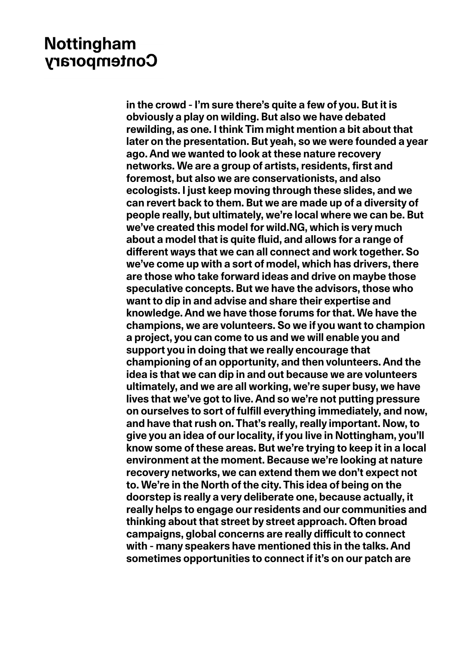**in the crowd - I'm sure there's quite a few of you. But it is obviously a play on wilding. But also we have debated rewilding, as one. I think Tim might mention a bit about that later on the presentation. But yeah, so we were founded a year ago. And we wanted to look at these nature recovery networks. We are a group of artists, residents, first and foremost, but also we are conservationists, and also ecologists. I just keep moving through these slides, and we can revert back to them. But we are made up of a diversity of people really, but ultimately, we're local where we can be. But we've created this model for wild.NG, which is very much about a model that is quite fluid, and allows for a range of different ways that we can all connect and work together. So we've come up with a sort of model, which has drivers, there are those who take forward ideas and drive on maybe those speculative concepts. But we have the advisors, those who want to dip in and advise and share their expertise and knowledge. And we have those forums for that. We have the champions, we are volunteers. So we if you want to champion a project, you can come to us and we will enable you and support you in doing that we really encourage that championing of an opportunity, and then volunteers. And the idea is that we can dip in and out because we are volunteers ultimately, and we are all working, we're super busy, we have lives that we've got to live. And so we're not putting pressure on ourselves to sort of fulfill everything immediately, and now, and have that rush on. That's really, really important. Now, to give you an idea of our locality, if you live in Nottingham, you'll know some of these areas. But we're trying to keep it in a local environment at the moment. Because we're looking at nature recovery networks, we can extend them we don't expect not to. We're in the North of the city. This idea of being on the doorstep is really a very deliberate one, because actually, it really helps to engage our residents and our communities and thinking about that street by street approach. Often broad campaigns, global concerns are really difficult to connect with - many speakers have mentioned this in the talks. And sometimes opportunities to connect if it's on our patch are**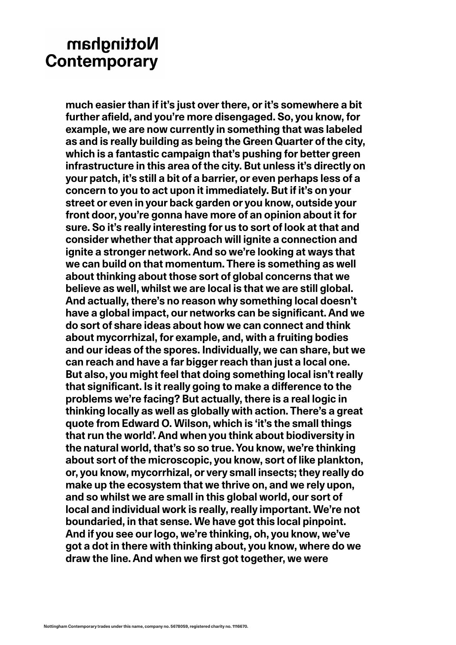**much easier than if it's just over there, or it's somewhere a bit further afield, and you're more disengaged. So, you know, for example, we are now currently in something that was labeled as and is really building as being the Green Quarter of the city, which is a fantastic campaign that's pushing for better green infrastructure in this area of the city. But unless it's directly on your patch, it's still a bit of a barrier, or even perhaps less of a concern to you to act upon it immediately. But if it's on your street or even in your back garden or you know, outside your front door, you're gonna have more of an opinion about it for sure. So it's really interesting for us to sort of look at that and consider whether that approach will ignite a connection and ignite a stronger network. And so we're looking at ways that we can build on that momentum. There is something as well about thinking about those sort of global concerns that we believe as well, whilst we are local is that we are still global. And actually, there's no reason why something local doesn't have a global impact, our networks can be significant. And we do sort of share ideas about how we can connect and think about mycorrhizal, for example, and, with a fruiting bodies and our ideas of the spores. Individually, we can share, but we can reach and have a far bigger reach than just a local one. But also, you might feel that doing something local isn't really that significant. Is it really going to make a difference to the problems we're facing? But actually, there is a real logic in thinking locally as well as globally with action. There's a great quote from Edward O. Wilson, which is 'it's the small things that run the world'. And when you think about biodiversity in the natural world, that's so so true. You know, we're thinking about sort of the microscopic, you know, sort of like plankton, or, you know, mycorrhizal, or very small insects; they really do make up the ecosystem that we thrive on, and we rely upon, and so whilst we are small in this global world, our sort of local and individual work is really, really important. We're not boundaried, in that sense. We have got this local pinpoint. And if you see our logo, we're thinking, oh, you know, we've got a dot in there with thinking about, you know, where do we draw the line. And when we first got together, we were**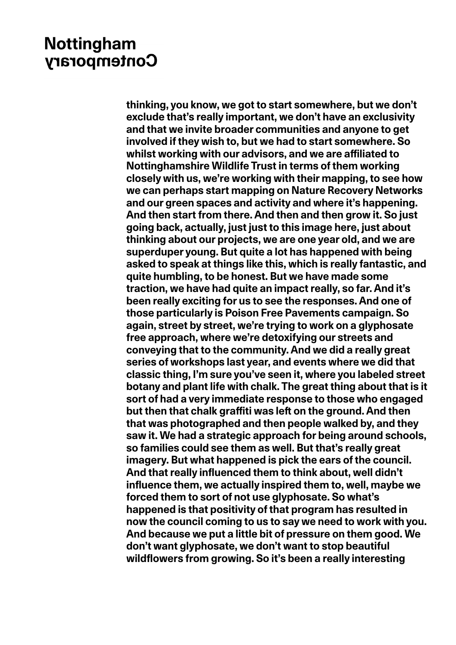**thinking, you know, we got to start somewhere, but we don't exclude that's really important, we don't have an exclusivity and that we invite broader communities and anyone to get involved if they wish to, but we had to start somewhere. So whilst working with our advisors, and we are affiliated to Nottinghamshire Wildlife Trust in terms of them working closely with us, we're working with their mapping, to see how we can perhaps start mapping on Nature Recovery Networks and our green spaces and activity and where it's happening. And then start from there. And then and then grow it. So just going back, actually, just just to this image here, just about thinking about our projects, we are one year old, and we are superduper young. But quite a lot has happened with being asked to speak at things like this, which is really fantastic, and quite humbling, to be honest. But we have made some traction, we have had quite an impact really, so far. And it's been really exciting for us to see the responses. And one of those particularly is Poison Free Pavements campaign. So again, street by street, we're trying to work on a glyphosate free approach, where we're detoxifying our streets and conveying that to the community. And we did a really great series of workshops last year, and events where we did that classic thing, I'm sure you've seen it, where you labeled street botany and plant life with chalk. The great thing about that is it sort of had a very immediate response to those who engaged but then that chalk graffiti was left on the ground. And then that was photographed and then people walked by, and they saw it. We had a strategic approach for being around schools, so families could see them as well. But that's really great imagery. But what happened is pick the ears of the council. And that really influenced them to think about, well didn't influence them, we actually inspired them to, well, maybe we forced them to sort of not use glyphosate. So what's happened is that positivity of that program has resulted in now the council coming to us to say we need to work with you. And because we put a little bit of pressure on them good. We don't want glyphosate, we don't want to stop beautiful wildflowers from growing. So it's been a really interesting**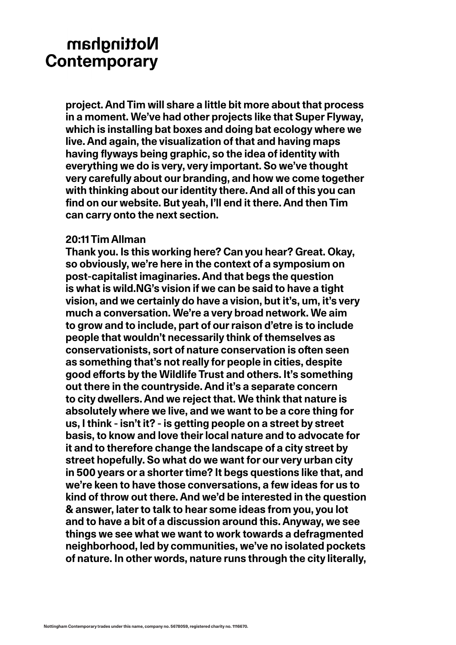**project. And Tim will share a little bit more about that process in a moment. We've had other projects like that Super Flyway, which is installing bat boxes and doing bat ecology where we live. And again, the visualization of that and having maps having flyways being graphic, so the idea of identity with everything we do is very, very important. So we've thought very carefully about our branding, and how we come together with thinking about our identity there. And all of this you can find on our website. But yeah, I'll end it there. And then Tim can carry onto the next section.**

### **20:11 Tim Allman**

**Thank you. Is this working here? Can you hear? Great. Okay, so obviously, we're here in the context of a symposium on post-capitalist imaginaries. And that begs the question is what is wild.NG's vision if we can be said to have a tight vision, and we certainly do have a vision, but it's, um, it's very much a conversation. We're a very broad network. We aim to grow and to include, part of our raison d'etre is to include people that wouldn't necessarily think of themselves as conservationists, sort of nature conservation is often seen as something that's not really for people in cities, despite good efforts by the Wildlife Trust and others. It's something out there in the countryside. And it's a separate concern to city dwellers. And we reject that. We think that nature is absolutely where we live, and we want to be a core thing for us, I think - isn't it? - is getting people on a street by street basis, to know and love their local nature and to advocate for it and to therefore change the landscape of a city street by street hopefully. So what do we want for our very urban city in 500 years or a shorter time? It begs questions like that, and we're keen to have those conversations, a few ideas for us to kind of throw out there. And we'd be interested in the question & answer, later to talk to hear some ideas from you, you lot and to have a bit of a discussion around this. Anyway, we see things we see what we want to work towards a defragmented neighborhood, led by communities, we've no isolated pockets of nature. In other words, nature runs through the city literally,**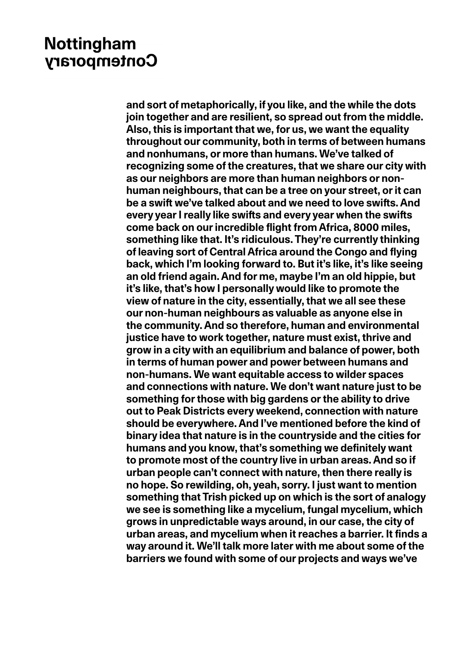**and sort of metaphorically, if you like, and the while the dots join together and are resilient, so spread out from the middle. Also, this is important that we, for us, we want the equality throughout our community, both in terms of between humans and nonhumans, or more than humans. We've talked of recognizing some of the creatures, that we share our city with as our neighbors are more than human neighbors or nonhuman neighbours, that can be a tree on your street, or it can be a swift we've talked about and we need to love swifts. And every year I really like swifts and every year when the swifts come back on our incredible flight from Africa, 8000 miles, something like that. It's ridiculous. They're currently thinking of leaving sort of Central Africa around the Congo and flying back, which I'm looking forward to. But it's like, it's like seeing an old friend again. And for me, maybe I'm an old hippie, but it's like, that's how I personally would like to promote the view of nature in the city, essentially, that we all see these our non-human neighbours as valuable as anyone else in the community. And so therefore, human and environmental justice have to work together, nature must exist, thrive and grow in a city with an equilibrium and balance of power, both in terms of human power and power between humans and non-humans. We want equitable access to wilder spaces and connections with nature. We don't want nature just to be something for those with big gardens or the ability to drive out to Peak Districts every weekend, connection with nature should be everywhere. And I've mentioned before the kind of binary idea that nature is in the countryside and the cities for humans and you know, that's something we definitely want to promote most of the country live in urban areas. And so if urban people can't connect with nature, then there really is no hope. So rewilding, oh, yeah, sorry. I just want to mention something that Trish picked up on which is the sort of analogy we see is something like a mycelium, fungal mycelium, which grows in unpredictable ways around, in our case, the city of urban areas, and mycelium when it reaches a barrier. It finds a way around it. We'll talk more later with me about some of the barriers we found with some of our projects and ways we've**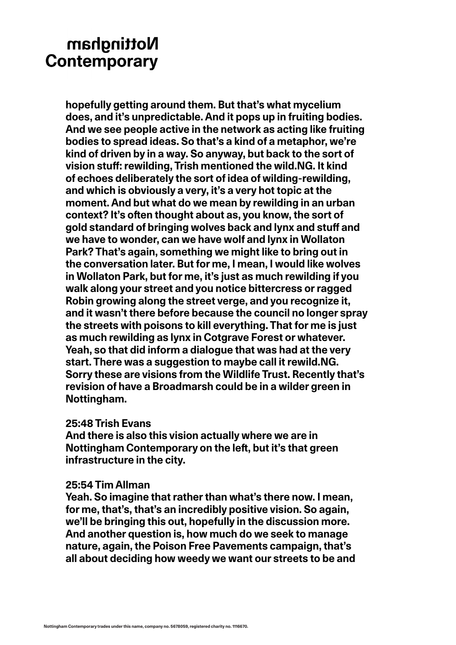**hopefully getting around them. But that's what mycelium does, and it's unpredictable. And it pops up in fruiting bodies. And we see people active in the network as acting like fruiting bodies to spread ideas. So that's a kind of a metaphor, we're kind of driven by in a way. So anyway, but back to the sort of vision stuff: rewilding, Trish mentioned the wild.NG. It kind of echoes deliberately the sort of idea of wilding-rewilding, and which is obviously a very, it's a very hot topic at the moment. And but what do we mean by rewilding in an urban context? It's often thought about as, you know, the sort of gold standard of bringing wolves back and lynx and stuff and we have to wonder, can we have wolf and lynx in Wollaton Park? That's again, something we might like to bring out in the conversation later. But for me, I mean, I would like wolves in Wollaton Park, but for me, it's just as much rewilding if you walk along your street and you notice bittercress or ragged Robin growing along the street verge, and you recognize it, and it wasn't there before because the council no longer spray the streets with poisons to kill everything. That for me is just as much rewilding as lynx in Cotgrave Forest or whatever. Yeah, so that did inform a dialogue that was had at the very start. There was a suggestion to maybe call it rewild.NG. Sorry these are visions from the Wildlife Trust. Recently that's revision of have a Broadmarsh could be in a wilder green in Nottingham.**

#### **25:48 Trish Evans**

**And there is also this vision actually where we are in Nottingham Contemporary on the left, but it's that green infrastructure in the city.**

#### **25:54 Tim Allman**

**Yeah. So imagine that rather than what's there now. I mean, for me, that's, that's an incredibly positive vision. So again, we'll be bringing this out, hopefully in the discussion more. And another question is, how much do we seek to manage nature, again, the Poison Free Pavements campaign, that's all about deciding how weedy we want our streets to be and**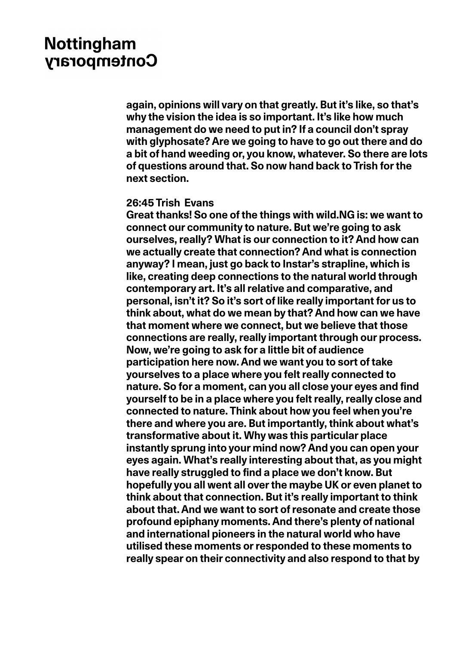**again, opinions will vary on that greatly. But it's like, so that's why the vision the idea is so important. It's like how much management do we need to put in? If a council don't spray with glyphosate? Are we going to have to go out there and do a bit of hand weeding or, you know, whatever. So there are lots of questions around that. So now hand back to Trish for the next section.**

#### **26:45 Trish Evans**

**Great thanks! So one of the things with wild.NG is: we want to connect our community to nature. But we're going to ask ourselves, really? What is our connection to it? And how can we actually create that connection? And what is connection anyway? I mean, just go back to Instar's strapline, which is like, creating deep connections to the natural world through contemporary art. It's all relative and comparative, and personal, isn't it? So it's sort of like really important for us to think about, what do we mean by that? And how can we have that moment where we connect, but we believe that those connections are really, really important through our process. Now, we're going to ask for a little bit of audience participation here now. And we want you to sort of take yourselves to a place where you felt really connected to nature. So for a moment, can you all close your eyes and find yourself to be in a place where you felt really, really close and connected to nature. Think about how you feel when you're there and where you are. But importantly, think about what's transformative about it. Why was this particular place instantly sprung into your mind now? And you can open your eyes again. What's really interesting about that, as you might have really struggled to find a place we don't know. But hopefully you all went all over the maybe UK or even planet to think about that connection. But it's really important to think about that. And we want to sort of resonate and create those profound epiphany moments. And there's plenty of national and international pioneers in the natural world who have utilised these moments or responded to these moments to really spear on their connectivity and also respond to that by**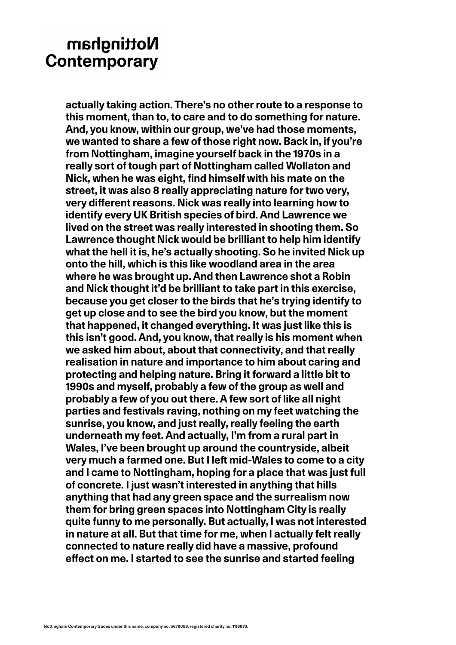**actually taking action. There's no other route to a response to this moment, than to, to care and to do something for nature. And, you know, within our group, we've had those moments, we wanted to share a few of those right now. Back in, if you're from Nottingham, imagine yourself back in the 1970s in a really sort of tough part of Nottingham called Wollaton and Nick, when he was eight, find himself with his mate on the street, it was also 8 really appreciating nature for two very, very different reasons. Nick was really into learning how to identify every UK British species of bird. And Lawrence we lived on the street was really interested in shooting them. So Lawrence thought Nick would be brilliant to help him identify what the hell it is, he's actually shooting. So he invited Nick up onto the hill, which is this like woodland area in the area where he was brought up. And then Lawrence shot a Robin and Nick thought it'd be brilliant to take part in this exercise, because you get closer to the birds that he's trying identify to get up close and to see the bird you know, but the moment that happened, it changed everything. It was just like this is this isn't good. And, you know, that really is his moment when we asked him about, about that connectivity, and that really realisation in nature and importance to him about caring and protecting and helping nature. Bring it forward a little bit to 1990s and myself, probably a few of the group as well and probably a few of you out there. A few sort of like all night parties and festivals raving, nothing on my feet watching the sunrise, you know, and just really, really feeling the earth underneath my feet. And actually, I'm from a rural part in Wales, I've been brought up around the countryside, albeit very much a farmed one. But I left mid-Wales to come to a city and I came to Nottingham, hoping for a place that was just full of concrete. I just wasn't interested in anything that hills anything that had any green space and the surrealism now them for bring green spaces into Nottingham City is really quite funny to me personally. But actually, I was not interested in nature at all. But that time for me, when I actually felt really connected to nature really did have a massive, profound effect on me. I started to see the sunrise and started feeling**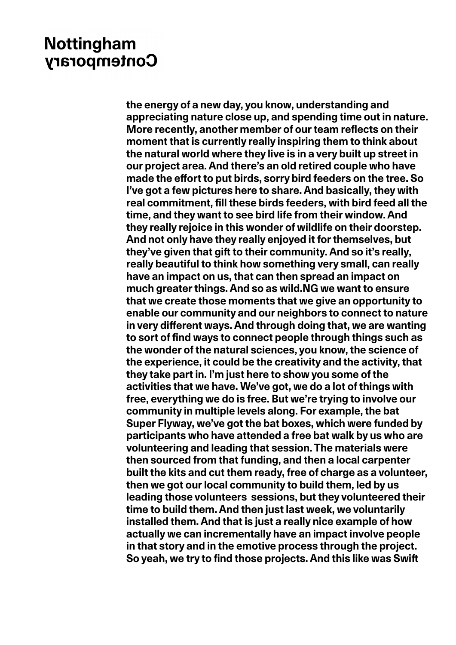**the energy of a new day, you know, understanding and appreciating nature close up, and spending time out in nature. More recently, another member of our team reflects on their moment that is currently really inspiring them to think about the natural world where they live is in a very built up street in our project area. And there's an old retired couple who have made the effort to put birds, sorry bird feeders on the tree. So I've got a few pictures here to share. And basically, they with real commitment, fill these birds feeders, with bird feed all the time, and they want to see bird life from their window. And they really rejoice in this wonder of wildlife on their doorstep. And not only have they really enjoyed it for themselves, but they've given that gift to their community. And so it's really, really beautiful to think how something very small, can really have an impact on us, that can then spread an impact on much greater things. And so as wild.NG we want to ensure that we create those moments that we give an opportunity to enable our community and our neighbors to connect to nature in very different ways. And through doing that, we are wanting to sort of find ways to connect people through things such as the wonder of the natural sciences, you know, the science of the experience, it could be the creativity and the activity, that they take part in. I'm just here to show you some of the activities that we have. We've got, we do a lot of things with free, everything we do is free. But we're trying to involve our community in multiple levels along. For example, the bat Super Flyway, we've got the bat boxes, which were funded by participants who have attended a free bat walk by us who are volunteering and leading that session. The materials were then sourced from that funding, and then a local carpenter built the kits and cut them ready, free of charge as a volunteer, then we got our local community to build them, led by us leading those volunteers sessions, but they volunteered their time to build them. And then just last week, we voluntarily installed them. And that is just a really nice example of how actually we can incrementally have an impact involve people in that story and in the emotive process through the project. So yeah, we try to find those projects. And this like was Swift**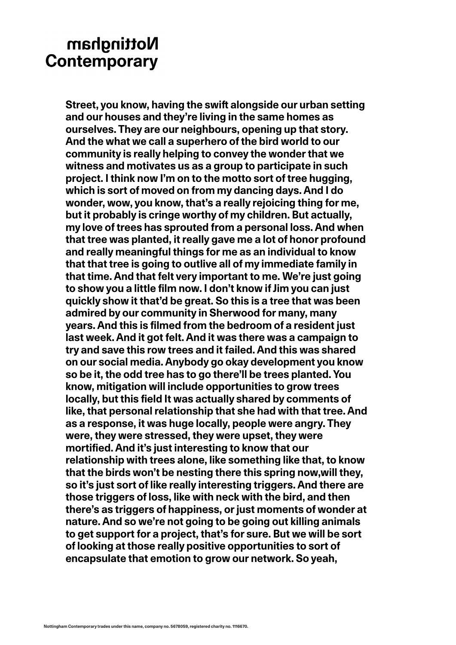**Street, you know, having the swift alongside our urban setting and our houses and they're living in the same homes as ourselves. They are our neighbours, opening up that story. And the what we call a superhero of the bird world to our community is really helping to convey the wonder that we witness and motivates us as a group to participate in such project. I think now I'm on to the motto sort of tree hugging, which is sort of moved on from my dancing days. And I do wonder, wow, you know, that's a really rejoicing thing for me, but it probably is cringe worthy of my children. But actually, my love of trees has sprouted from a personal loss. And when that tree was planted, it really gave me a lot of honor profound and really meaningful things for me as an individual to know that that tree is going to outlive all of my immediate family in that time. And that felt very important to me. We're just going to show you a little film now. I don't know if Jim you can just quickly show it that'd be great. So this is a tree that was been admired by our community in Sherwood for many, many years. And this is filmed from the bedroom of a resident just last week. And it got felt. And it was there was a campaign to try and save this row trees and it failed. And this was shared on our social media. Anybody go okay development you know so be it, the odd tree has to go there'll be trees planted. You know, mitigation will include opportunities to grow trees locally, but this field It was actually shared by comments of like, that personal relationship that she had with that tree. And as a response, it was huge locally, people were angry. They were, they were stressed, they were upset, they were mortified. And it's just interesting to know that our relationship with trees alone, like something like that, to know that the birds won't be nesting there this spring now,will they, so it's just sort of like really interesting triggers. And there are those triggers of loss, like with neck with the bird, and then there's as triggers of happiness, or just moments of wonder at nature. And so we're not going to be going out killing animals to get support for a project, that's for sure. But we will be sort of looking at those really positive opportunities to sort of encapsulate that emotion to grow our network. So yeah,**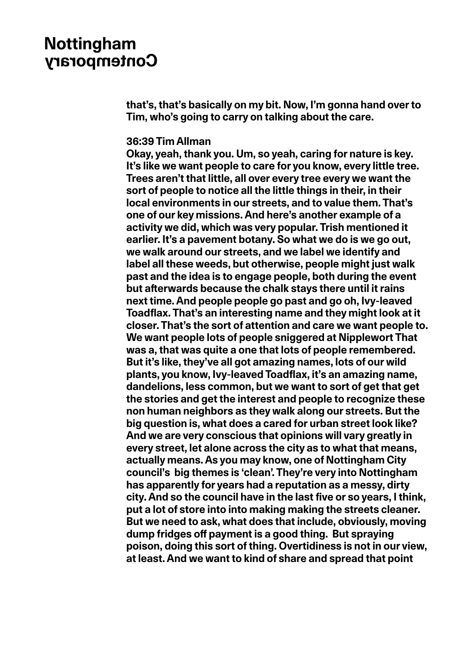**that's, that's basically on my bit. Now, I'm gonna hand over to Tim, who's going to carry on talking about the care.**

#### **36:39 Tim Allman**

**Okay, yeah, thank you. Um, so yeah, caring for nature is key. It's like we want people to care for you know, every little tree. Trees aren't that little, all over every tree every we want the sort of people to notice all the little things in their, in their local environments in our streets, and to value them. That's one of our key missions. And here's another example of a activity we did, which was very popular. Trish mentioned it earlier. It's a pavement botany. So what we do is we go out, we walk around our streets, and we label we identify and label all these weeds, but otherwise, people might just walk past and the idea is to engage people, both during the event but afterwards because the chalk stays there until it rains next time. And people people go past and go oh, Ivy-leaved Toadflax. That's an interesting name and they might look at it closer. That's the sort of attention and care we want people to. We want people lots of people sniggered at Nipplewort That was a, that was quite a one that lots of people remembered. But it's like, they've all got amazing names, lots of our wild plants, you know, Ivy-leaved Toadflax, it's an amazing name, dandelions, less common, but we want to sort of get that get the stories and get the interest and people to recognize these non human neighbors as they walk along our streets. But the big question is, what does a cared for urban street look like? And we are very conscious that opinions will vary greatly in every street, let alone across the city as to what that means, actually means. As you may know, one of Nottingham City council's big themes is 'clean'. They're very into Nottingham has apparently for years had a reputation as a messy, dirty city. And so the council have in the last five or so years, I think, put a lot of store into into making making the streets cleaner. But we need to ask, what does that include, obviously, moving dump fridges off payment is a good thing. But spraying poison, doing this sort of thing. Overtidiness is not in our view, at least. And we want to kind of share and spread that point**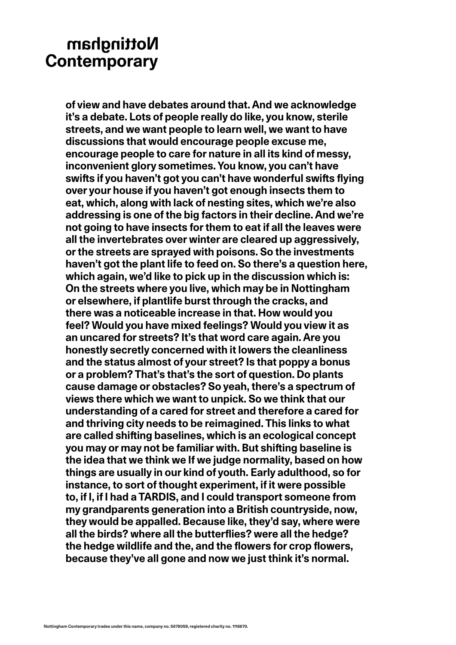**of view and have debates around that. And we acknowledge it's a debate. Lots of people really do like, you know, sterile streets, and we want people to learn well, we want to have discussions that would encourage people excuse me, encourage people to care for nature in all its kind of messy, inconvenient glory sometimes. You know, you can't have swifts if you haven't got you can't have wonderful swifts flying over your house if you haven't got enough insects them to eat, which, along with lack of nesting sites, which we're also addressing is one of the big factors in their decline. And we're not going to have insects for them to eat if all the leaves were all the invertebrates over winter are cleared up aggressively, or the streets are sprayed with poisons. So the investments haven't got the plant life to feed on. So there's a question here, which again, we'd like to pick up in the discussion which is: On the streets where you live, which may be in Nottingham or elsewhere, if plantlife burst through the cracks, and there was a noticeable increase in that. How would you feel? Would you have mixed feelings? Would you view it as an uncared for streets? It's that word care again. Are you honestly secretly concerned with it lowers the cleanliness and the status almost of your street? Is that poppy a bonus or a problem? That's that's the sort of question. Do plants cause damage or obstacles? So yeah, there's a spectrum of views there which we want to unpick. So we think that our understanding of a cared for street and therefore a cared for and thriving city needs to be reimagined. This links to what are called shifting baselines, which is an ecological concept you may or may not be familiar with. But shifting baseline is the idea that we think we If we judge normality, based on how things are usually in our kind of youth. Early adulthood, so for instance, to sort of thought experiment, if it were possible to, if I, if I had a TARDIS, and I could transport someone from my grandparents generation into a British countryside, now, they would be appalled. Because like, they'd say, where were all the birds? where all the butterflies? were all the hedge? the hedge wildlife and the, and the flowers for crop flowers, because they've all gone and now we just think it's normal.**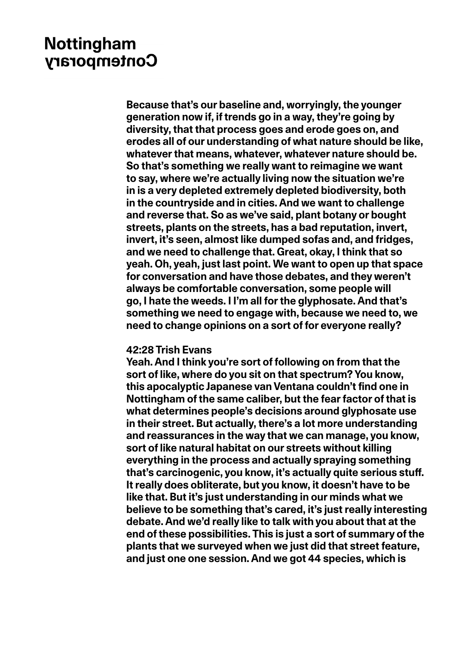**Because that's our baseline and, worryingly, the younger generation now if, if trends go in a way, they're going by diversity, that that process goes and erode goes on, and erodes all of our understanding of what nature should be like, whatever that means, whatever, whatever nature should be. So that's something we really want to reimagine we want to say, where we're actually living now the situation we're in is a very depleted extremely depleted biodiversity, both in the countryside and in cities. And we want to challenge and reverse that. So as we've said, plant botany or bought streets, plants on the streets, has a bad reputation, invert, invert, it's seen, almost like dumped sofas and, and fridges, and we need to challenge that. Great, okay, I think that so yeah. Oh, yeah, just last point. We want to open up that space for conversation and have those debates, and they weren't always be comfortable conversation, some people will go, I hate the weeds. I I'm all for the glyphosate. And that's something we need to engage with, because we need to, we need to change opinions on a sort of for everyone really?**

#### **42:28 Trish Evans**

**Yeah. And I think you're sort of following on from that the sort of like, where do you sit on that spectrum? You know, this apocalyptic Japanese van Ventana couldn't find one in Nottingham of the same caliber, but the fear factor of that is what determines people's decisions around glyphosate use in their street. But actually, there's a lot more understanding and reassurances in the way that we can manage, you know, sort of like natural habitat on our streets without killing everything in the process and actually spraying something that's carcinogenic, you know, it's actually quite serious stuff. It really does obliterate, but you know, it doesn't have to be like that. But it's just understanding in our minds what we believe to be something that's cared, it's just really interesting debate. And we'd really like to talk with you about that at the end of these possibilities. This is just a sort of summary of the plants that we surveyed when we just did that street feature, and just one one session. And we got 44 species, which is**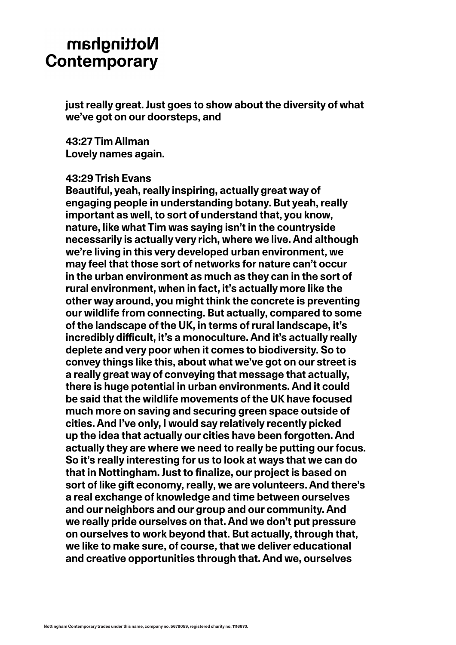**just really great. Just goes to show about the diversity of what we've got on our doorsteps, and** 

**43:27 Tim Allman Lovely names again.** 

#### **43:29 Trish Evans**

**Beautiful, yeah, really inspiring, actually great way of engaging people in understanding botany. But yeah, really important as well, to sort of understand that, you know, nature, like what Tim was saying isn't in the countryside necessarily is actually very rich, where we live. And although we're living in this very developed urban environment, we may feel that those sort of networks for nature can't occur in the urban environment as much as they can in the sort of rural environment, when in fact, it's actually more like the other way around, you might think the concrete is preventing our wildlife from connecting. But actually, compared to some of the landscape of the UK, in terms of rural landscape, it's incredibly difficult, it's a monoculture. And it's actually really deplete and very poor when it comes to biodiversity. So to convey things like this, about what we've got on our street is a really great way of conveying that message that actually, there is huge potential in urban environments. And it could be said that the wildlife movements of the UK have focused much more on saving and securing green space outside of cities. And I've only, I would say relatively recently picked up the idea that actually our cities have been forgotten. And actually they are where we need to really be putting our focus. So it's really interesting for us to look at ways that we can do that in Nottingham. Just to finalize, our project is based on sort of like gift economy, really, we are volunteers. And there's a real exchange of knowledge and time between ourselves and our neighbors and our group and our community. And we really pride ourselves on that. And we don't put pressure on ourselves to work beyond that. But actually, through that, we like to make sure, of course, that we deliver educational and creative opportunities through that. And we, ourselves**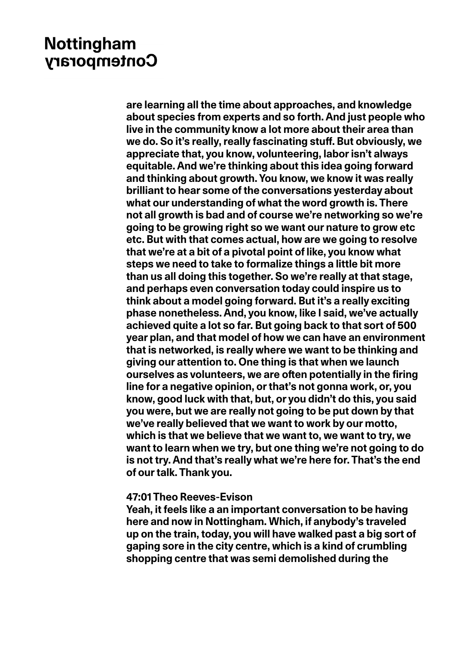**are learning all the time about approaches, and knowledge about species from experts and so forth. And just people who live in the community know a lot more about their area than we do. So it's really, really fascinating stuff. But obviously, we appreciate that, you know, volunteering, labor isn't always equitable. And we're thinking about this idea going forward and thinking about growth. You know, we know it was really brilliant to hear some of the conversations yesterday about what our understanding of what the word growth is. There not all growth is bad and of course we're networking so we're going to be growing right so we want our nature to grow etc etc. But with that comes actual, how are we going to resolve that we're at a bit of a pivotal point of like, you know what steps we need to take to formalize things a little bit more than us all doing this together. So we're really at that stage, and perhaps even conversation today could inspire us to think about a model going forward. But it's a really exciting phase nonetheless. And, you know, like I said, we've actually achieved quite a lot so far. But going back to that sort of 500 year plan, and that model of how we can have an environment that is networked, is really where we want to be thinking and giving our attention to. One thing is that when we launch ourselves as volunteers, we are often potentially in the firing line for a negative opinion, or that's not gonna work, or, you know, good luck with that, but, or you didn't do this, you said you were, but we are really not going to be put down by that we've really believed that we want to work by our motto, which is that we believe that we want to, we want to try, we want to learn when we try, but one thing we're not going to do is not try. And that's really what we're here for. That's the end of our talk. Thank you.**

### **47:01 Theo Reeves-Evison**

**Yeah, it feels like a an important conversation to be having here and now in Nottingham. Which, if anybody's traveled up on the train, today, you will have walked past a big sort of gaping sore in the city centre, which is a kind of crumbling shopping centre that was semi demolished during the**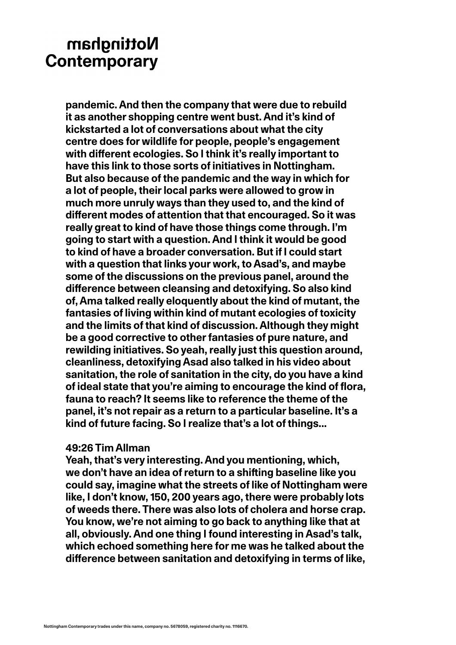**pandemic. And then the company that were due to rebuild it as another shopping centre went bust. And it's kind of kickstarted a lot of conversations about what the city centre does for wildlife for people, people's engagement with different ecologies. So I think it's really important to have this link to those sorts of initiatives in Nottingham. But also because of the pandemic and the way in which for a lot of people, their local parks were allowed to grow in much more unruly ways than they used to, and the kind of different modes of attention that that encouraged. So it was really great to kind of have those things come through. I'm going to start with a question. And I think it would be good to kind of have a broader conversation. But if I could start with a question that links your work, to Asad's, and maybe some of the discussions on the previous panel, around the difference between cleansing and detoxifying. So also kind of, Ama talked really eloquently about the kind of mutant, the fantasies of living within kind of mutant ecologies of toxicity and the limits of that kind of discussion. Although they might be a good corrective to other fantasies of pure nature, and rewilding initiatives. So yeah, really just this question around, cleanliness, detoxifying Asad also talked in his video about sanitation, the role of sanitation in the city, do you have a kind of ideal state that you're aiming to encourage the kind of flora, fauna to reach? It seems like to reference the theme of the panel, it's not repair as a return to a particular baseline. It's a kind of future facing. So I realize that's a lot of things...**

### **49:26 Tim Allman**

**Yeah, that's very interesting. And you mentioning, which, we don't have an idea of return to a shifting baseline like you could say, imagine what the streets of like of Nottingham were like, I don't know, 150, 200 years ago, there were probably lots of weeds there. There was also lots of cholera and horse crap. You know, we're not aiming to go back to anything like that at all, obviously. And one thing I found interesting in Asad's talk, which echoed something here for me was he talked about the difference between sanitation and detoxifying in terms of like,**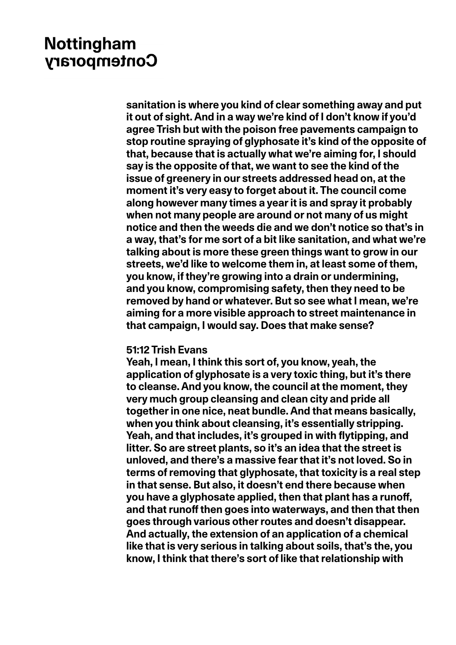**sanitation is where you kind of clear something away and put it out of sight. And in a way we're kind of I don't know if you'd agree Trish but with the poison free pavements campaign to stop routine spraying of glyphosate it's kind of the opposite of that, because that is actually what we're aiming for, I should say is the opposite of that, we want to see the kind of the issue of greenery in our streets addressed head on, at the moment it's very easy to forget about it. The council come along however many times a year it is and spray it probably when not many people are around or not many of us might notice and then the weeds die and we don't notice so that's in a way, that's for me sort of a bit like sanitation, and what we're talking about is more these green things want to grow in our streets, we'd like to welcome them in, at least some of them, you know, if they're growing into a drain or undermining, and you know, compromising safety, then they need to be removed by hand or whatever. But so see what I mean, we're aiming for a more visible approach to street maintenance in that campaign, I would say. Does that make sense?** 

#### **51:12 Trish Evans**

**Yeah, I mean, I think this sort of, you know, yeah, the application of glyphosate is a very toxic thing, but it's there to cleanse. And you know, the council at the moment, they very much group cleansing and clean city and pride all together in one nice, neat bundle. And that means basically, when you think about cleansing, it's essentially stripping. Yeah, and that includes, it's grouped in with flytipping, and litter. So are street plants, so it's an idea that the street is unloved, and there's a massive fear that it's not loved. So in terms of removing that glyphosate, that toxicity is a real step in that sense. But also, it doesn't end there because when you have a glyphosate applied, then that plant has a runoff, and that runoff then goes into waterways, and then that then goes through various other routes and doesn't disappear. And actually, the extension of an application of a chemical like that is very serious in talking about soils, that's the, you know, I think that there's sort of like that relationship with**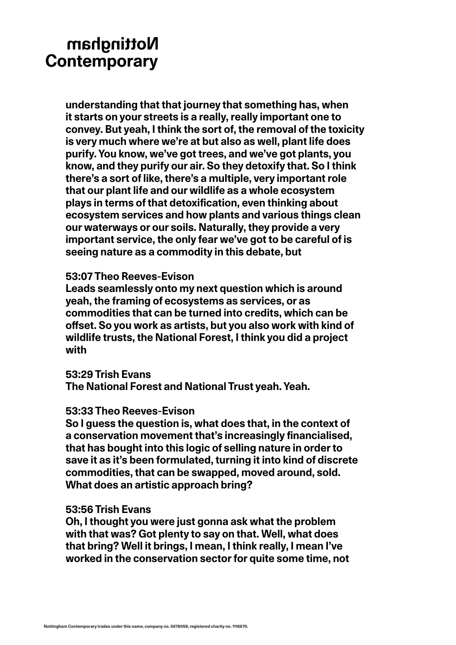**understanding that that journey that something has, when it starts on your streets is a really, really important one to convey. But yeah, I think the sort of, the removal of the toxicity is very much where we're at but also as well, plant life does purify. You know, we've got trees, and we've got plants, you know, and they purify our air. So they detoxify that. So I think there's a sort of like, there's a multiple, very important role that our plant life and our wildlife as a whole ecosystem plays in terms of that detoxification, even thinking about ecosystem services and how plants and various things clean our waterways or our soils. Naturally, they provide a very important service, the only fear we've got to be careful of is seeing nature as a commodity in this debate, but**

### **53:07 Theo Reeves-Evison**

**Leads seamlessly onto my next question which is around yeah, the framing of ecosystems as services, or as commodities that can be turned into credits, which can be offset. So you work as artists, but you also work with kind of wildlife trusts, the National Forest, I think you did a project with**

### **53:29 Trish Evans**

**The National Forest and National Trust yeah. Yeah.**

### **53:33 Theo Reeves-Evison**

**So I guess the question is, what does that, in the context of a conservation movement that's increasingly financialised, that has bought into this logic of selling nature in order to save it as it's been formulated, turning it into kind of discrete commodities, that can be swapped, moved around, sold. What does an artistic approach bring?**

### **53:56 Trish Evans**

**Oh, I thought you were just gonna ask what the problem with that was? Got plenty to say on that. Well, what does that bring? Well it brings, I mean, I think really, I mean I've worked in the conservation sector for quite some time, not**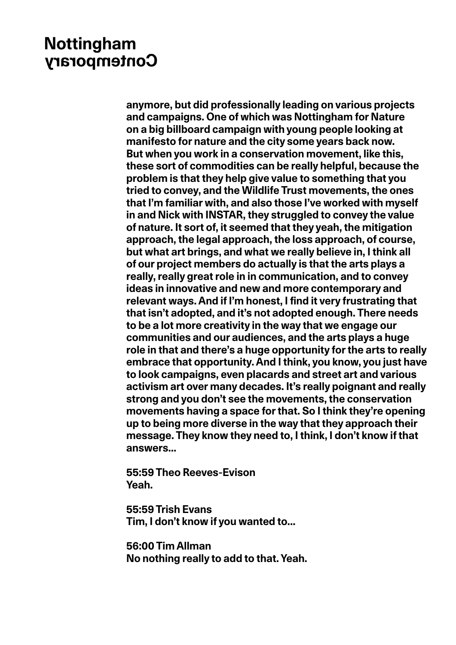**anymore, but did professionally leading on various projects and campaigns. One of which was Nottingham for Nature on a big billboard campaign with young people looking at manifesto for nature and the city some years back now. But when you work in a conservation movement, like this, these sort of commodities can be really helpful, because the problem is that they help give value to something that you tried to convey, and the Wildlife Trust movements, the ones that I'm familiar with, and also those I've worked with myself in and Nick with INSTAR, they struggled to convey the value of nature. It sort of, it seemed that they yeah, the mitigation approach, the legal approach, the loss approach, of course, but what art brings, and what we really believe in, I think all of our project members do actually is that the arts plays a really, really great role in in communication, and to convey ideas in innovative and new and more contemporary and relevant ways. And if I'm honest, I find it very frustrating that that isn't adopted, and it's not adopted enough. There needs to be a lot more creativity in the way that we engage our communities and our audiences, and the arts plays a huge role in that and there's a huge opportunity for the arts to really embrace that opportunity. And I think, you know, you just have to look campaigns, even placards and street art and various activism art over many decades. It's really poignant and really strong and you don't see the movements, the conservation movements having a space for that. So I think they're opening up to being more diverse in the way that they approach their message. They know they need to, I think, I don't know if that answers...**

**55:59 Theo Reeves-Evison Yeah.**

**55:59 Trish Evans Tim, I don't know if you wanted to...**

**56:00 Tim Allman No nothing really to add to that. Yeah.**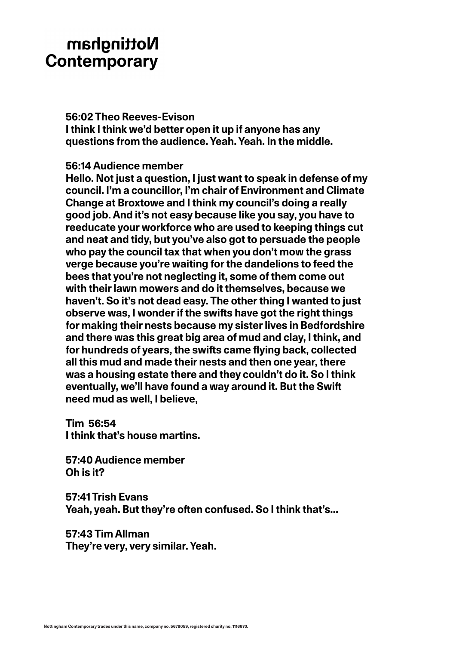### **56:02 Theo Reeves-Evison**

**I think I think we'd better open it up if anyone has any questions from the audience. Yeah. Yeah. In the middle.**

### **56:14 Audience member**

**Hello. Not just a question, I just want to speak in defense of my council. I'm a councillor, I'm chair of Environment and Climate Change at Broxtowe and I think my council's doing a really good job. And it's not easy because like you say, you have to reeducate your workforce who are used to keeping things cut and neat and tidy, but you've also got to persuade the people who pay the council tax that when you don't mow the grass verge because you're waiting for the dandelions to feed the bees that you're not neglecting it, some of them come out with their lawn mowers and do it themselves, because we haven't. So it's not dead easy. The other thing I wanted to just observe was, I wonder if the swifts have got the right things for making their nests because my sister lives in Bedfordshire and there was this great big area of mud and clay, I think, and for hundreds of years, the swifts came flying back, collected all this mud and made their nests and then one year, there was a housing estate there and they couldn't do it. So I think eventually, we'll have found a way around it. But the Swift need mud as well, I believe,** 

**Tim 56:54 I think that's house martins.**

**57:40 Audience member Oh is it?**

**57:41 Trish Evans Yeah, yeah. But they're often confused. So I think that's...**

**57:43 Tim Allman They're very, very similar. Yeah.**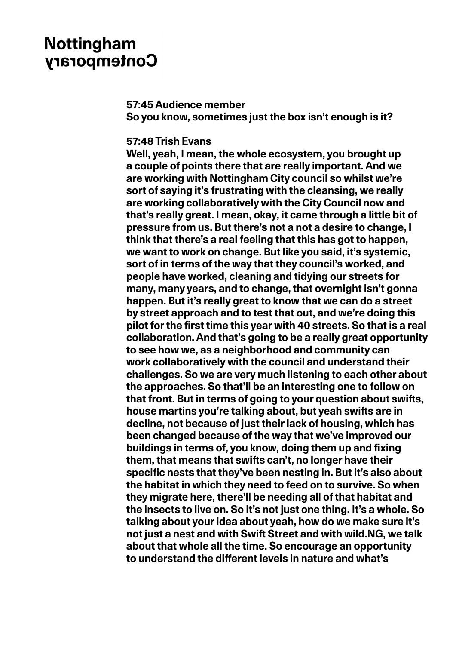#### **57:45 Audience member**

**So you know, sometimes just the box isn't enough is it?**

#### **57:48 Trish Evans**

**Well, yeah, I mean, the whole ecosystem, you brought up a couple of points there that are really important. And we are working with Nottingham City council so whilst we're sort of saying it's frustrating with the cleansing, we really are working collaboratively with the City Council now and that's really great. I mean, okay, it came through a little bit of pressure from us. But there's not a not a desire to change, I think that there's a real feeling that this has got to happen, we want to work on change. But like you said, it's systemic, sort of in terms of the way that they council's worked, and people have worked, cleaning and tidying our streets for many, many years, and to change, that overnight isn't gonna happen. But it's really great to know that we can do a street by street approach and to test that out, and we're doing this pilot for the first time this year with 40 streets. So that is a real collaboration. And that's going to be a really great opportunity to see how we, as a neighborhood and community can work collaboratively with the council and understand their challenges. So we are very much listening to each other about the approaches. So that'll be an interesting one to follow on that front. But in terms of going to your question about swifts, house martins you're talking about, but yeah swifts are in decline, not because of just their lack of housing, which has been changed because of the way that we've improved our buildings in terms of, you know, doing them up and fixing them, that means that swifts can't, no longer have their specific nests that they've been nesting in. But it's also about the habitat in which they need to feed on to survive. So when they migrate here, there'll be needing all of that habitat and the insects to live on. So it's not just one thing. It's a whole. So talking about your idea about yeah, how do we make sure it's not just a nest and with Swift Street and with wild.NG, we talk about that whole all the time. So encourage an opportunity to understand the different levels in nature and what's**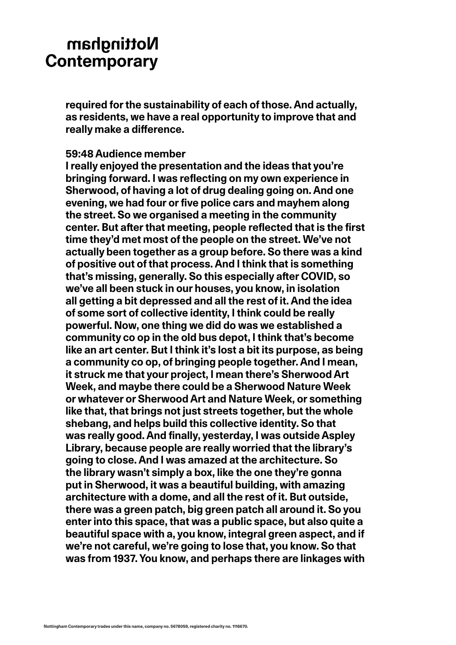**required for the sustainability of each of those. And actually, as residents, we have a real opportunity to improve that and really make a difference.**

#### **59:48 Audience member**

**I really enjoyed the presentation and the ideas that you're bringing forward. I was reflecting on my own experience in Sherwood, of having a lot of drug dealing going on. And one evening, we had four or five police cars and mayhem along the street. So we organised a meeting in the community center. But after that meeting, people reflected that is the first time they'd met most of the people on the street. We've not actually been together as a group before. So there was a kind of positive out of that process. And I think that is something that's missing, generally. So this especially after COVID, so we've all been stuck in our houses, you know, in isolation all getting a bit depressed and all the rest of it. And the idea of some sort of collective identity, I think could be really powerful. Now, one thing we did do was we established a community co op in the old bus depot, I think that's become like an art center. But I think it's lost a bit its purpose, as being a community co op, of bringing people together. And I mean, it struck me that your project, I mean there's Sherwood Art Week, and maybe there could be a Sherwood Nature Week or whatever or Sherwood Art and Nature Week, or something like that, that brings not just streets together, but the whole shebang, and helps build this collective identity. So that was really good. And finally, yesterday, I was outside Aspley Library, because people are really worried that the library's going to close. And I was amazed at the architecture. So the library wasn't simply a box, like the one they're gonna put in Sherwood, it was a beautiful building, with amazing architecture with a dome, and all the rest of it. But outside, there was a green patch, big green patch all around it. So you enter into this space, that was a public space, but also quite a beautiful space with a, you know, integral green aspect, and if we're not careful, we're going to lose that, you know. So that was from 1937. You know, and perhaps there are linkages with**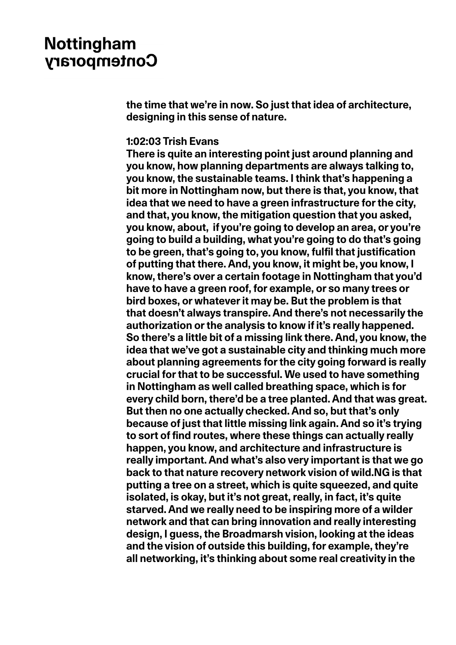**the time that we're in now. So just that idea of architecture, designing in this sense of nature.**

### **1:02:03 Trish Evans**

**There is quite an interesting point just around planning and you know, how planning departments are always talking to, you know, the sustainable teams. I think that's happening a bit more in Nottingham now, but there is that, you know, that idea that we need to have a green infrastructure for the city, and that, you know, the mitigation question that you asked, you know, about, if you're going to develop an area, or you're going to build a building, what you're going to do that's going to be green, that's going to, you know, fulfil that justification of putting that there. And, you know, it might be, you know, I know, there's over a certain footage in Nottingham that you'd have to have a green roof, for example, or so many trees or bird boxes, or whatever it may be. But the problem is that that doesn't always transpire. And there's not necessarily the authorization or the analysis to know if it's really happened. So there's a little bit of a missing link there. And, you know, the idea that we've got a sustainable city and thinking much more about planning agreements for the city going forward is really crucial for that to be successful. We used to have something in Nottingham as well called breathing space, which is for every child born, there'd be a tree planted. And that was great. But then no one actually checked. And so, but that's only because of just that little missing link again. And so it's trying to sort of find routes, where these things can actually really happen, you know, and architecture and infrastructure is really important. And what's also very important is that we go back to that nature recovery network vision of wild.NG is that putting a tree on a street, which is quite squeezed, and quite isolated, is okay, but it's not great, really, in fact, it's quite starved. And we really need to be inspiring more of a wilder network and that can bring innovation and really interesting design, I guess, the Broadmarsh vision, looking at the ideas and the vision of outside this building, for example, they're all networking, it's thinking about some real creativity in the**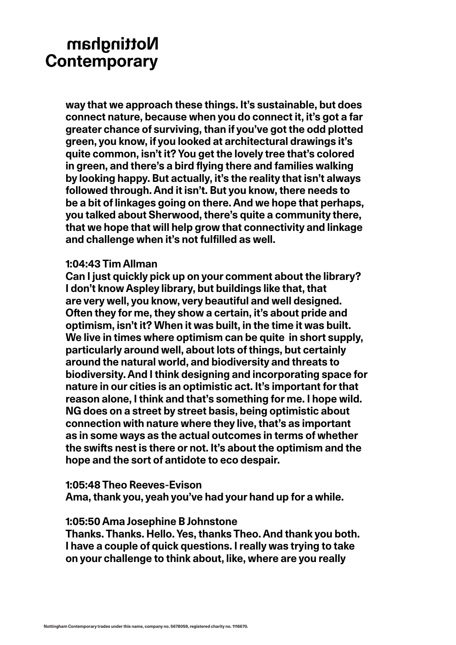**way that we approach these things. It's sustainable, but does connect nature, because when you do connect it, it's got a far greater chance of surviving, than if you've got the odd plotted green, you know, if you looked at architectural drawings it's quite common, isn't it? You get the lovely tree that's colored in green, and there's a bird flying there and families walking by looking happy. But actually, it's the reality that isn't always followed through. And it isn't. But you know, there needs to be a bit of linkages going on there. And we hope that perhaps, you talked about Sherwood, there's quite a community there, that we hope that will help grow that connectivity and linkage and challenge when it's not fulfilled as well.**

### **1:04:43 Tim Allman**

**Can I just quickly pick up on your comment about the library? I don't know Aspley library, but buildings like that, that are very well, you know, very beautiful and well designed. Often they for me, they show a certain, it's about pride and optimism, isn't it? When it was built, in the time it was built. We live in times where optimism can be quite in short supply, particularly around well, about lots of things, but certainly around the natural world, and biodiversity and threats to biodiversity. And I think designing and incorporating space for nature in our cities is an optimistic act. It's important for that reason alone, I think and that's something for me. I hope wild. NG does on a street by street basis, being optimistic about connection with nature where they live, that's as important as in some ways as the actual outcomes in terms of whether the swifts nest is there or not. It's about the optimism and the hope and the sort of antidote to eco despair.**

### **1:05:48 Theo Reeves-Evison**

**Ama, thank you, yeah you've had your hand up for a while.**

### **1:05:50 Ama Josephine B Johnstone**

**Thanks. Thanks. Hello. Yes, thanks Theo. And thank you both. I have a couple of quick questions. I really was trying to take on your challenge to think about, like, where are you really**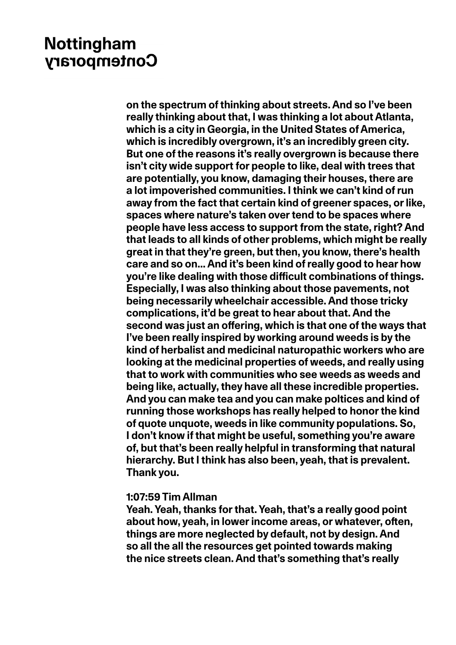**on the spectrum of thinking about streets. And so I've been really thinking about that, I was thinking a lot about Atlanta, which is a city in Georgia, in the United States of America, which is incredibly overgrown, it's an incredibly green city. But one of the reasons it's really overgrown is because there isn't city wide support for people to like, deal with trees that are potentially, you know, damaging their houses, there are a lot impoverished communities. I think we can't kind of run away from the fact that certain kind of greener spaces, or like, spaces where nature's taken over tend to be spaces where people have less access to support from the state, right? And that leads to all kinds of other problems, which might be really great in that they're green, but then, you know, there's health care and so on... And it's been kind of really good to hear how you're like dealing with those difficult combinations of things. Especially, I was also thinking about those pavements, not being necessarily wheelchair accessible. And those tricky complications, it'd be great to hear about that. And the second was just an offering, which is that one of the ways that I've been really inspired by working around weeds is by the kind of herbalist and medicinal naturopathic workers who are looking at the medicinal properties of weeds, and really using that to work with communities who see weeds as weeds and being like, actually, they have all these incredible properties. And you can make tea and you can make poltices and kind of running those workshops has really helped to honor the kind of quote unquote, weeds in like community populations. So, I don't know if that might be useful, something you're aware of, but that's been really helpful in transforming that natural hierarchy. But I think has also been, yeah, that is prevalent. Thank you.**

#### **1:07:59 Tim Allman**

**Yeah. Yeah, thanks for that. Yeah, that's a really good point about how, yeah, in lower income areas, or whatever, often, things are more neglected by default, not by design. And so all the all the resources get pointed towards making the nice streets clean. And that's something that's really**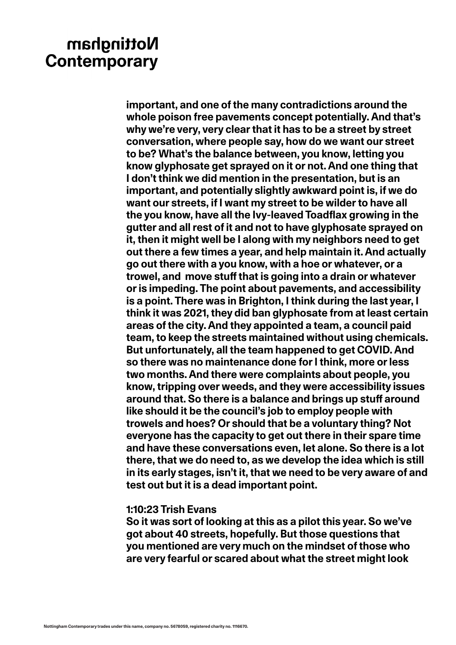**important, and one of the many contradictions around the whole poison free pavements concept potentially. And that's why we're very, very clear that it has to be a street by street conversation, where people say, how do we want our street to be? What's the balance between, you know, letting you know glyphosate get sprayed on it or not. And one thing that I don't think we did mention in the presentation, but is an important, and potentially slightly awkward point is, if we do want our streets, if I want my street to be wilder to have all the you know, have all the Ivy-leaved Toadflax growing in the gutter and all rest of it and not to have glyphosate sprayed on it, then it might well be I along with my neighbors need to get out there a few times a year, and help maintain it. And actually go out there with a you know, with a hoe or whatever, or a trowel, and move stuff that is going into a drain or whatever or is impeding. The point about pavements, and accessibility is a point. There was in Brighton, I think during the last year, I think it was 2021, they did ban glyphosate from at least certain areas of the city. And they appointed a team, a council paid team, to keep the streets maintained without using chemicals. But unfortunately, all the team happened to get COVID. And so there was no maintenance done for I think, more or less two months. And there were complaints about people, you know, tripping over weeds, and they were accessibility issues around that. So there is a balance and brings up stuff around like should it be the council's job to employ people with trowels and hoes? Or should that be a voluntary thing? Not everyone has the capacity to get out there in their spare time and have these conversations even, let alone. So there is a lot there, that we do need to, as we develop the idea which is still in its early stages, isn't it, that we need to be very aware of and test out but it is a dead important point.**

#### **1:10:23 Trish Evans**

**So it was sort of looking at this as a pilot this year. So we've got about 40 streets, hopefully. But those questions that you mentioned are very much on the mindset of those who are very fearful or scared about what the street might look**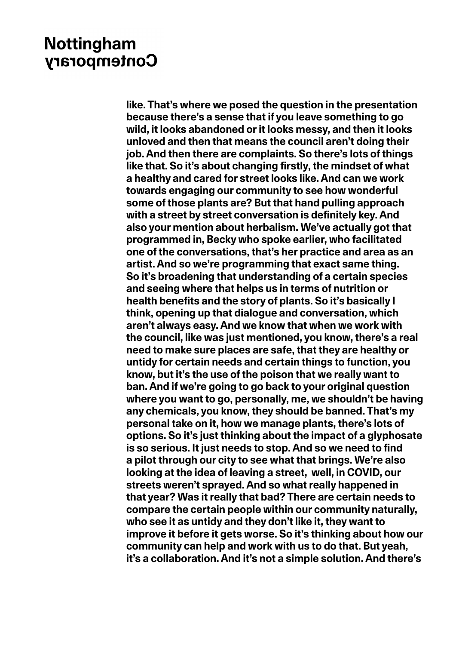**like. That's where we posed the question in the presentation because there's a sense that if you leave something to go wild, it looks abandoned or it looks messy, and then it looks unloved and then that means the council aren't doing their job. And then there are complaints. So there's lots of things like that. So it's about changing firstly, the mindset of what a healthy and cared for street looks like. And can we work towards engaging our community to see how wonderful some of those plants are? But that hand pulling approach with a street by street conversation is definitely key. And also your mention about herbalism. We've actually got that programmed in, Becky who spoke earlier, who facilitated one of the conversations, that's her practice and area as an artist. And so we're programming that exact same thing. So it's broadening that understanding of a certain species and seeing where that helps us in terms of nutrition or health benefits and the story of plants. So it's basically I think, opening up that dialogue and conversation, which aren't always easy. And we know that when we work with the council, like was just mentioned, you know, there's a real need to make sure places are safe, that they are healthy or untidy for certain needs and certain things to function, you know, but it's the use of the poison that we really want to ban. And if we're going to go back to your original question where you want to go, personally, me, we shouldn't be having any chemicals, you know, they should be banned. That's my personal take on it, how we manage plants, there's lots of options. So it's just thinking about the impact of a glyphosate is so serious. It just needs to stop. And so we need to find a pilot through our city to see what that brings. We're also looking at the idea of leaving a street, well, in COVID, our streets weren't sprayed. And so what really happened in that year? Was it really that bad? There are certain needs to compare the certain people within our community naturally, who see it as untidy and they don't like it, they want to improve it before it gets worse. So it's thinking about how our community can help and work with us to do that. But yeah, it's a collaboration. And it's not a simple solution. And there's**